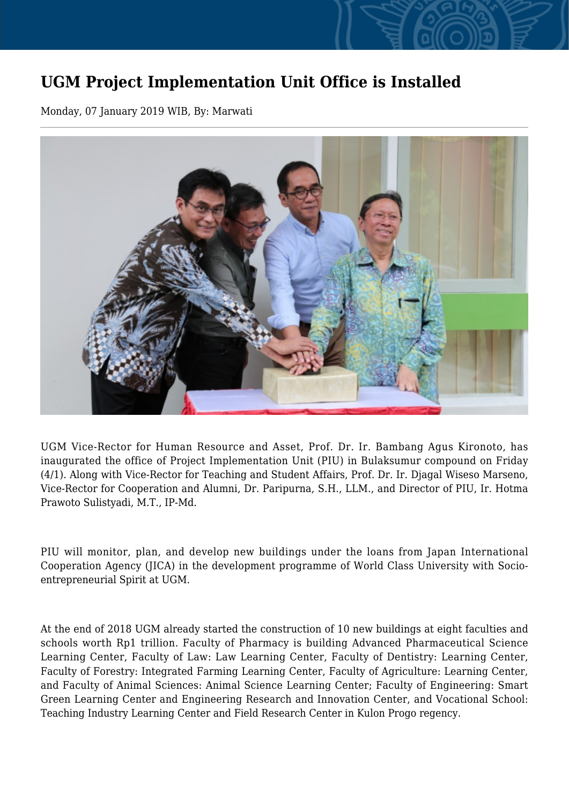## **UGM Project Implementation Unit Office is Installed**

Monday, 07 January 2019 WIB, By: Marwati



UGM Vice-Rector for Human Resource and Asset, Prof. Dr. Ir. Bambang Agus Kironoto, has inaugurated the office of Project Implementation Unit (PIU) in Bulaksumur compound on Friday (4/1). Along with Vice-Rector for Teaching and Student Affairs, Prof. Dr. Ir. Djagal Wiseso Marseno, Vice-Rector for Cooperation and Alumni, Dr. Paripurna, S.H., LLM., and Director of PIU, Ir. Hotma Prawoto Sulistyadi, M.T., IP-Md.

PIU will monitor, plan, and develop new buildings under the loans from Japan International Cooperation Agency (JICA) in the development programme of World Class University with Socioentrepreneurial Spirit at UGM.

At the end of 2018 UGM already started the construction of 10 new buildings at eight faculties and schools worth Rp1 trillion. Faculty of Pharmacy is building Advanced Pharmaceutical Science Learning Center, Faculty of Law: Law Learning Center, Faculty of Dentistry: Learning Center, Faculty of Forestry: Integrated Farming Learning Center, Faculty of Agriculture: Learning Center, and Faculty of Animal Sciences: Animal Science Learning Center; Faculty of Engineering: Smart Green Learning Center and Engineering Research and Innovation Center, and Vocational School: Teaching Industry Learning Center and Field Research Center in Kulon Progo regency.